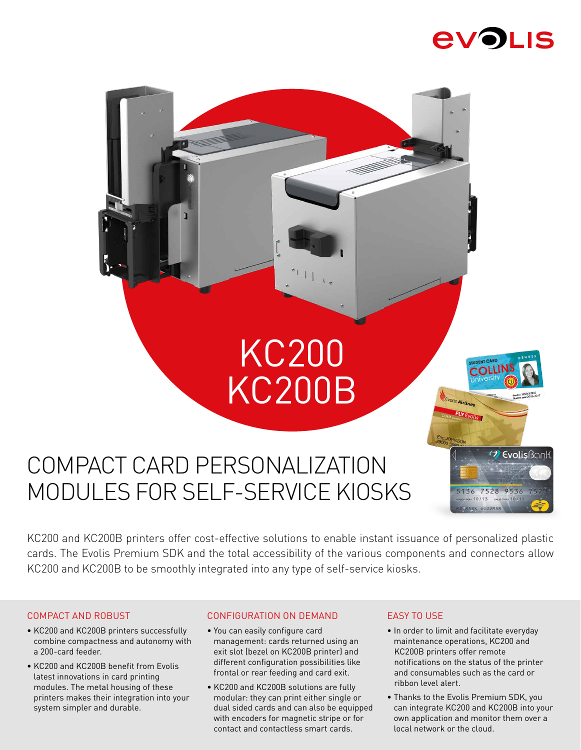

COLLI

<sup>(2)</sup> EvolisBonk

7528 9536

Evolis Airlines

# KC200 KC200B



KC200 and KC200B printers offer cost-effective solutions to enable instant issuance of personalized plastic cards. The Evolis Premium SDK and the total accessibility of the various components and connectors allow KC200 and KC200B to be smoothly integrated into any type of self-service kiosks.

# COMPACT AND ROBUST

- KC200 and KC200B printers successfully combine compactness and autonomy with a 200-card feeder.
- KC200 and KC200B benefit from Evolis latest innovations in card printing modules. The metal housing of these printers makes their integration into your system simpler and durable.

# CONFIGURATION ON DEMAND

- You can easily configure card management: cards returned using an exit slot (bezel on KC200B printer) and different configuration possibilities like frontal or rear feeding and card exit.
- KC200 and KC200B solutions are fully modular: they can print either single or dual sided cards and can also be equipped with encoders for magnetic stripe or for contact and contactless smart cards.

# EASY TO USE

- In order to limit and facilitate everyday maintenance operations, KC200 and KC200B printers offer remote notifications on the status of the printer and consumables such as the card or ribbon level alert.
- Thanks to the Evolis Premium SDK, you can integrate KC200 and KC200B into your own application and monitor them over a local network or the cloud.